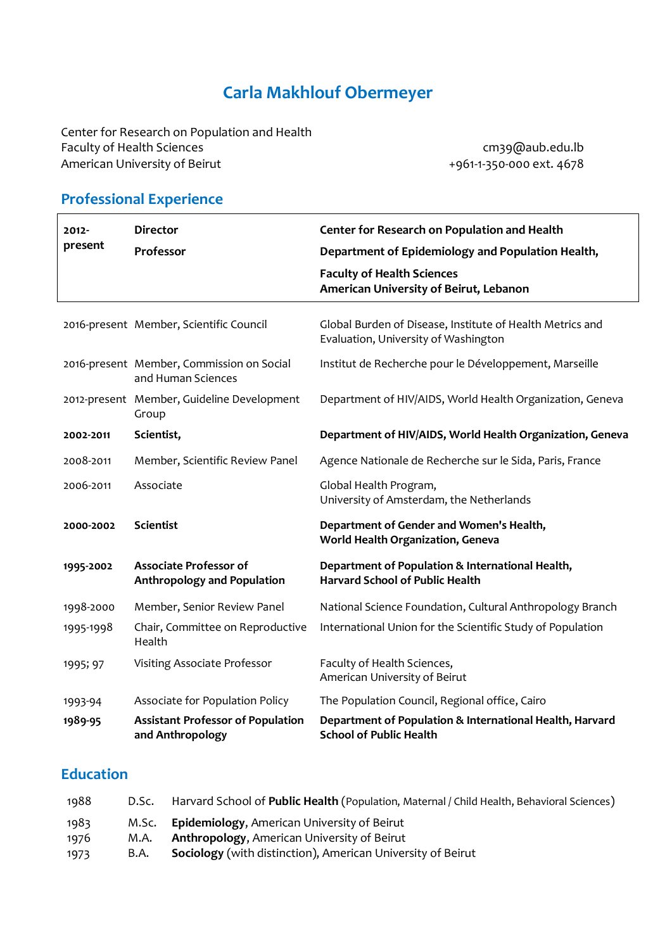# **Carla Makhlouf Obermeyer**

Center for Research on Population and Health Faculty of Health Sciences<br>American University of Beirut American University of Beirut American University of Beirut American University of Beirut

## **Professional Experience**

| $2012 -$<br>present | <b>Director</b>                                                     | Center for Research on Population and Health                                                      |
|---------------------|---------------------------------------------------------------------|---------------------------------------------------------------------------------------------------|
|                     | Professor                                                           | Department of Epidemiology and Population Health,                                                 |
|                     |                                                                     | <b>Faculty of Health Sciences</b><br>American University of Beirut, Lebanon                       |
|                     | 2016-present Member, Scientific Council                             | Global Burden of Disease, Institute of Health Metrics and<br>Evaluation, University of Washington |
|                     | 2016-present Member, Commission on Social<br>and Human Sciences     | Institut de Recherche pour le Développement, Marseille                                            |
|                     | 2012-present Member, Guideline Development<br>Group                 | Department of HIV/AIDS, World Health Organization, Geneva                                         |
| 2002-2011           | Scientist,                                                          | Department of HIV/AIDS, World Health Organization, Geneva                                         |
| 2008-2011           | Member, Scientific Review Panel                                     | Agence Nationale de Recherche sur le Sida, Paris, France                                          |
| 2006-2011           | Associate                                                           | Global Health Program,<br>University of Amsterdam, the Netherlands                                |
| 2000-2002           | <b>Scientist</b>                                                    | Department of Gender and Women's Health,<br>World Health Organization, Geneva                     |
| 1995-2002           | <b>Associate Professor of</b><br><b>Anthropology and Population</b> | Department of Population & International Health,<br><b>Harvard School of Public Health</b>        |
| 1998-2000           | Member, Senior Review Panel                                         | National Science Foundation, Cultural Anthropology Branch                                         |
| 1995-1998           | Chair, Committee on Reproductive<br>Health                          | International Union for the Scientific Study of Population                                        |
| 1995; 97            | Visiting Associate Professor                                        | Faculty of Health Sciences,<br>American University of Beirut                                      |
| 1993-94             | Associate for Population Policy                                     | The Population Council, Regional office, Cairo                                                    |
| 1989-95             | <b>Assistant Professor of Population</b><br>and Anthropology        | Department of Population & International Health, Harvard<br><b>School of Public Health</b>        |

## **Education**

| 1988 | D.Sc. | Harvard School of Public Health (Population, Maternal / Child Health, Behavioral Sciences) |
|------|-------|--------------------------------------------------------------------------------------------|
| 1983 |       | M.Sc. Epidemiology, American University of Beirut                                          |
| 1976 | M.A.  | <b>Anthropology, American University of Beirut</b>                                         |
| 1973 | B.A.  | <b>Sociology</b> (with distinction), American University of Beirut                         |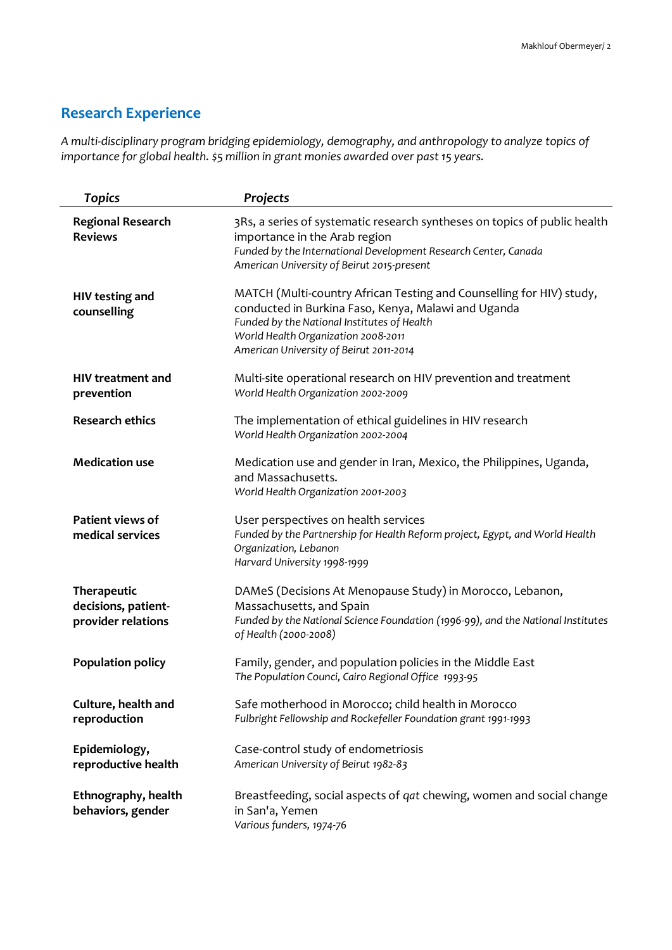## **Research Experience**

*A multi-disciplinary program bridging epidemiology, demography, and anthropology to analyze topics of importance for global health. \$5 million in grant monies awarded over past 15 years.*

| <b>Topics</b>                                            | Projects                                                                                                                                                                                                                                                     |
|----------------------------------------------------------|--------------------------------------------------------------------------------------------------------------------------------------------------------------------------------------------------------------------------------------------------------------|
| <b>Regional Research</b><br><b>Reviews</b>               | 3Rs, a series of systematic research syntheses on topics of public health<br>importance in the Arab region<br>Funded by the International Development Research Center, Canada<br>American University of Beirut 2015-present                                  |
| <b>HIV testing and</b><br>counselling                    | MATCH (Multi-country African Testing and Counselling for HIV) study,<br>conducted in Burkina Faso, Kenya, Malawi and Uganda<br>Funded by the National Institutes of Health<br>World Health Organization 2008-2011<br>American University of Beirut 2011-2014 |
| <b>HIV</b> treatment and<br>prevention                   | Multi-site operational research on HIV prevention and treatment<br>World Health Organization 2002-2009                                                                                                                                                       |
| <b>Research ethics</b>                                   | The implementation of ethical guidelines in HIV research<br>World Health Organization 2002-2004                                                                                                                                                              |
| <b>Medication use</b>                                    | Medication use and gender in Iran, Mexico, the Philippines, Uganda,<br>and Massachusetts.<br>World Health Organization 2001-2003                                                                                                                             |
| Patient views of<br>medical services                     | User perspectives on health services<br>Funded by the Partnership for Health Reform project, Egypt, and World Health<br>Organization, Lebanon<br>Harvard University 1998-1999                                                                                |
| Therapeutic<br>decisions, patient-<br>provider relations | DAMeS (Decisions At Menopause Study) in Morocco, Lebanon,<br>Massachusetts, and Spain<br>Funded by the National Science Foundation (1996-99), and the National Institutes<br>of Health (2000-2008)                                                           |
| <b>Population policy</b>                                 | Family, gender, and population policies in the Middle East<br>The Population Counci, Cairo Regional Office 1993-95                                                                                                                                           |
| Culture, health and<br>reproduction                      | Safe motherhood in Morocco; child health in Morocco<br>Fulbright Fellowship and Rockefeller Foundation grant 1991-1993                                                                                                                                       |
| Epidemiology,<br>reproductive health                     | Case-control study of endometriosis<br>American University of Beirut 1982-83                                                                                                                                                                                 |
| Ethnography, health<br>behaviors, gender                 | Breastfeeding, social aspects of qat chewing, women and social change<br>in San'a, Yemen<br>Various funders, 1974-76                                                                                                                                         |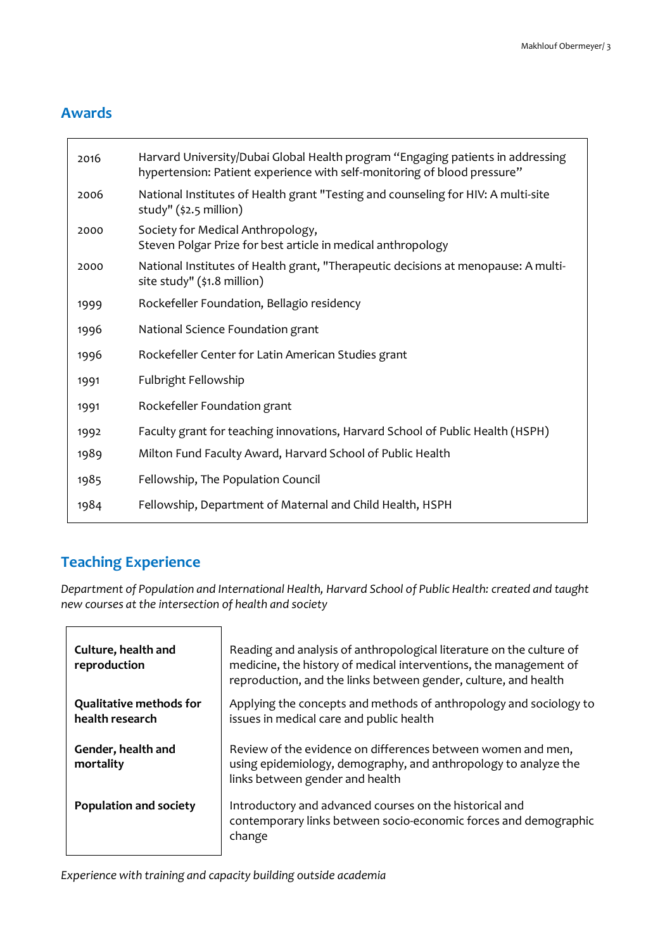### **Awards**

| 2016 | Harvard University/Dubai Global Health program "Engaging patients in addressing<br>hypertension: Patient experience with self-monitoring of blood pressure" |
|------|-------------------------------------------------------------------------------------------------------------------------------------------------------------|
| 2006 | National Institutes of Health grant "Testing and counseling for HIV: A multi-site<br>study" (\$2.5 million)                                                 |
| 2000 | Society for Medical Anthropology,<br>Steven Polgar Prize for best article in medical anthropology                                                           |
| 2000 | National Institutes of Health grant, "Therapeutic decisions at menopause: A multi-<br>site study" (\$1.8 million)                                           |
| 1999 | Rockefeller Foundation, Bellagio residency                                                                                                                  |
| 1996 | National Science Foundation grant                                                                                                                           |
| 1996 | Rockefeller Center for Latin American Studies grant                                                                                                         |
| 1991 | Fulbright Fellowship                                                                                                                                        |
| 1991 | Rockefeller Foundation grant                                                                                                                                |
| 1992 | Faculty grant for teaching innovations, Harvard School of Public Health (HSPH)                                                                              |
| 1989 | Milton Fund Faculty Award, Harvard School of Public Health                                                                                                  |
| 1985 | Fellowship, The Population Council                                                                                                                          |
| 1984 | Fellowship, Department of Maternal and Child Health, HSPH                                                                                                   |

### **Teaching Experience**

*Department of Population and International Health, Harvard School of Public Health: created and taught new courses at the intersection of health and society*

| Culture, health and<br>reproduction               | Reading and analysis of anthropological literature on the culture of<br>medicine, the history of medical interventions, the management of<br>reproduction, and the links between gender, culture, and health |
|---------------------------------------------------|--------------------------------------------------------------------------------------------------------------------------------------------------------------------------------------------------------------|
| <b>Qualitative methods for</b><br>health research | Applying the concepts and methods of anthropology and sociology to<br>issues in medical care and public health                                                                                               |
| Gender, health and<br>mortality                   | Review of the evidence on differences between women and men,<br>using epidemiology, demography, and anthropology to analyze the<br>links between gender and health                                           |
| <b>Population and society</b>                     | Introductory and advanced courses on the historical and<br>contemporary links between socio-economic forces and demographic<br>change                                                                        |

*Experience with training and capacity building outside academia*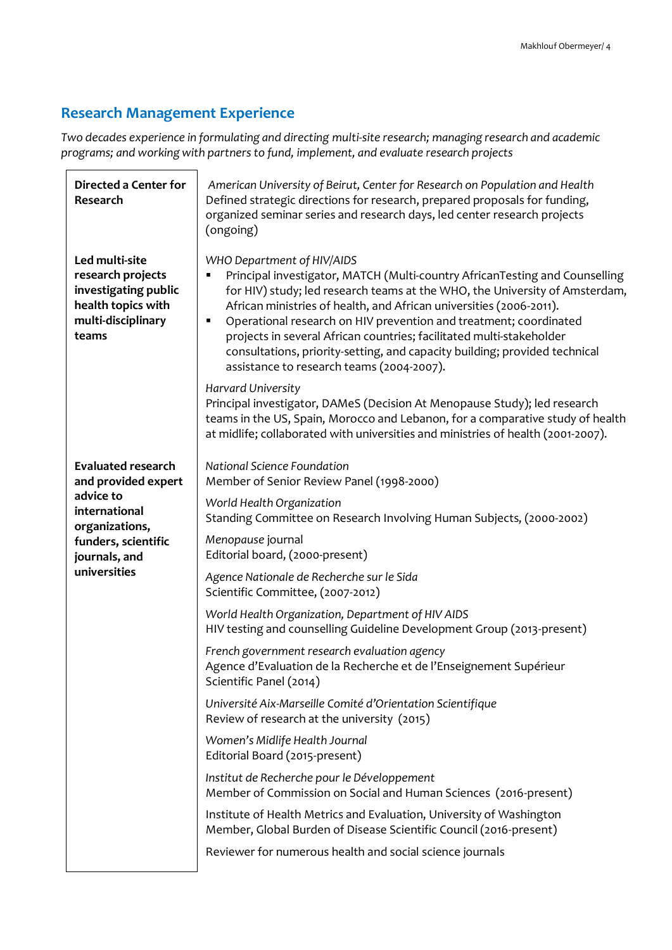## **Research Management Experience**

*Two decades experience in formulating and directing multi-site research; managing research and academic programs; and working with partners to fund, implement, and evaluate research projects*

| <b>Directed a Center for</b><br>Research                                                                         | American University of Beirut, Center for Research on Population and Health<br>Defined strategic directions for research, prepared proposals for funding,<br>organized seminar series and research days, led center research projects<br>(ongoing)                                                                                                                                                                                                                                                                                           |
|------------------------------------------------------------------------------------------------------------------|----------------------------------------------------------------------------------------------------------------------------------------------------------------------------------------------------------------------------------------------------------------------------------------------------------------------------------------------------------------------------------------------------------------------------------------------------------------------------------------------------------------------------------------------|
| Led multi-site<br>research projects<br>investigating public<br>health topics with<br>multi-disciplinary<br>teams | WHO Department of HIV/AIDS<br>Principal investigator, MATCH (Multi-country AfricanTesting and Counselling<br>for HIV) study; led research teams at the WHO, the University of Amsterdam,<br>African ministries of health, and African universities (2006-2011).<br>Operational research on HIV prevention and treatment; coordinated<br>٠<br>projects in several African countries; facilitated multi-stakeholder<br>consultations, priority-setting, and capacity building; provided technical<br>assistance to research teams (2004-2007). |
|                                                                                                                  | Harvard University<br>Principal investigator, DAMeS (Decision At Menopause Study); led research<br>teams in the US, Spain, Morocco and Lebanon, for a comparative study of health<br>at midlife; collaborated with universities and ministries of health (2001-2007).                                                                                                                                                                                                                                                                        |
| <b>Evaluated research</b><br>and provided expert                                                                 | National Science Foundation<br>Member of Senior Review Panel (1998-2000)                                                                                                                                                                                                                                                                                                                                                                                                                                                                     |
| advice to<br>international<br>organizations,<br>funders, scientific                                              | World Health Organization<br>Standing Committee on Research Involving Human Subjects, (2000-2002)<br>Menopause journal                                                                                                                                                                                                                                                                                                                                                                                                                       |
| journals, and<br>universities                                                                                    | Editorial board, (2000-present)<br>Agence Nationale de Recherche sur le Sida                                                                                                                                                                                                                                                                                                                                                                                                                                                                 |
|                                                                                                                  | Scientific Committee, (2007-2012)<br>World Health Organization, Department of HIV AIDS                                                                                                                                                                                                                                                                                                                                                                                                                                                       |
|                                                                                                                  | HIV testing and counselling Guideline Development Group (2013-present)                                                                                                                                                                                                                                                                                                                                                                                                                                                                       |
|                                                                                                                  | French government research evaluation agency<br>Agence d'Evaluation de la Recherche et de l'Enseignement Supérieur<br>Scientific Panel (2014)                                                                                                                                                                                                                                                                                                                                                                                                |
|                                                                                                                  | Université Aix-Marseille Comité d'Orientation Scientifique<br>Review of research at the university (2015)                                                                                                                                                                                                                                                                                                                                                                                                                                    |
|                                                                                                                  | Women's Midlife Health Journal<br>Editorial Board (2015-present)                                                                                                                                                                                                                                                                                                                                                                                                                                                                             |
|                                                                                                                  | Institut de Recherche pour le Développement<br>Member of Commission on Social and Human Sciences (2016-present)                                                                                                                                                                                                                                                                                                                                                                                                                              |
|                                                                                                                  | Institute of Health Metrics and Evaluation, University of Washington<br>Member, Global Burden of Disease Scientific Council (2016-present)                                                                                                                                                                                                                                                                                                                                                                                                   |
|                                                                                                                  | Reviewer for numerous health and social science journals                                                                                                                                                                                                                                                                                                                                                                                                                                                                                     |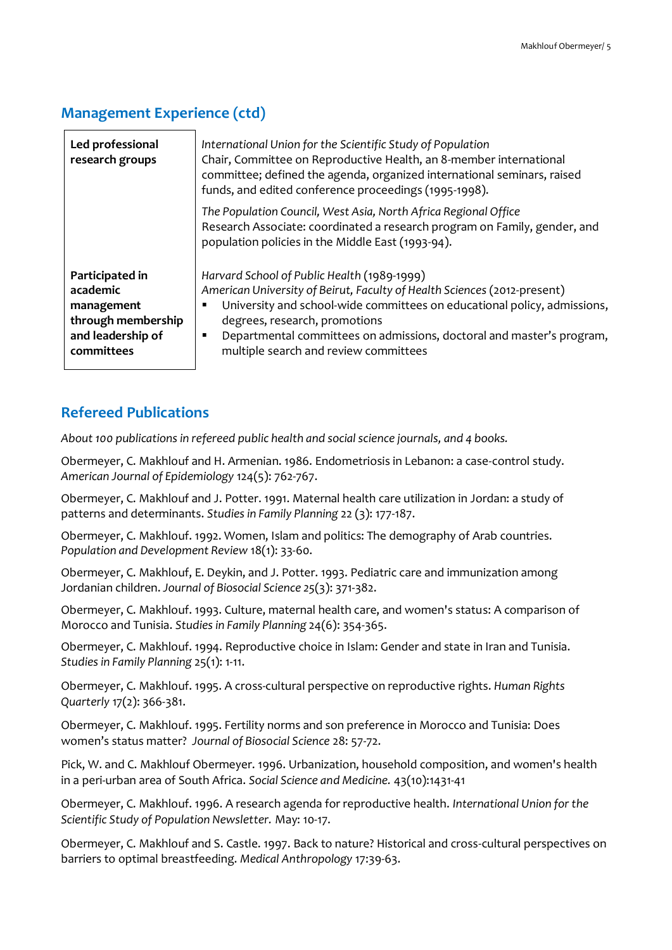### **Management Experience (ctd)**

| Led professional<br>research groups                                                                | International Union for the Scientific Study of Population<br>Chair, Committee on Reproductive Health, an 8-member international<br>committee; defined the agenda, organized international seminars, raised<br>funds, and edited conference proceedings (1995-1998).                                                                                        |
|----------------------------------------------------------------------------------------------------|-------------------------------------------------------------------------------------------------------------------------------------------------------------------------------------------------------------------------------------------------------------------------------------------------------------------------------------------------------------|
|                                                                                                    | The Population Council, West Asia, North Africa Regional Office<br>Research Associate: coordinated a research program on Family, gender, and<br>population policies in the Middle East (1993-94).                                                                                                                                                           |
| Participated in<br>academic<br>management<br>through membership<br>and leadership of<br>committees | Harvard School of Public Health (1989-1999)<br>American University of Beirut, Faculty of Health Sciences (2012-present)<br>University and school-wide committees on educational policy, admissions,<br>degrees, research, promotions<br>Departmental committees on admissions, doctoral and master's program,<br>п<br>multiple search and review committees |

### **Refereed Publications**

*About 100 publications in refereed public health and social science journals, and 4 books.*

Obermeyer, C. Makhlouf and H. Armenian. 1986. Endometriosis in Lebanon: a case-control study. *American Journal of Epidemiology* 124(5): 762-767.

Obermeyer, C. Makhlouf and J. Potter. 1991. Maternal health care utilization in Jordan: a study of patterns and determinants. *Studies in Family Planning* 22 (3): 177-187.

Obermeyer, C. Makhlouf. 1992. Women, Islam and politics: The demography of Arab countries. *Population and Development Review* 18(1): 33-60.

Obermeyer, C. Makhlouf, E. Deykin, and J. Potter. 1993. Pediatric care and immunization among Jordanian children. *Journal of Biosocial Science 25*(3): 371-382.

Obermeyer, C. Makhlouf. 1993. Culture, maternal health care, and women's status: A comparison of Morocco and Tunisia. *Studies in Family Planning* 24(6): 354-365.

Obermeyer, C. Makhlouf. 1994. Reproductive choice in Islam: Gender and state in Iran and Tunisia. *Studies in Family Planning* 25(1): 1-11.

Obermeyer, C. Makhlouf. 1995. A cross-cultural perspective on reproductive rights. *Human Rights Quarterly* 17(2): 366-381.

Obermeyer, C. Makhlouf. 1995. Fertility norms and son preference in Morocco and Tunisia: Does women's status matter? *Journal of Biosocial Science* 28: 57-72.

Pick, W. and C. Makhlouf Obermeyer. 1996. Urbanization, household composition, and women's health in a peri-urban area of South Africa. *Social Science and Medicine.* 43(10):1431-41

Obermeyer, C. Makhlouf. 1996. A research agenda for reproductive health. *International Union for the Scientific Study of Population Newsletter.* May: 10-17.

Obermeyer, C. Makhlouf and S. Castle. 1997. Back to nature? Historical and cross-cultural perspectives on barriers to optimal breastfeeding. *Medical Anthropology* 17:39-63.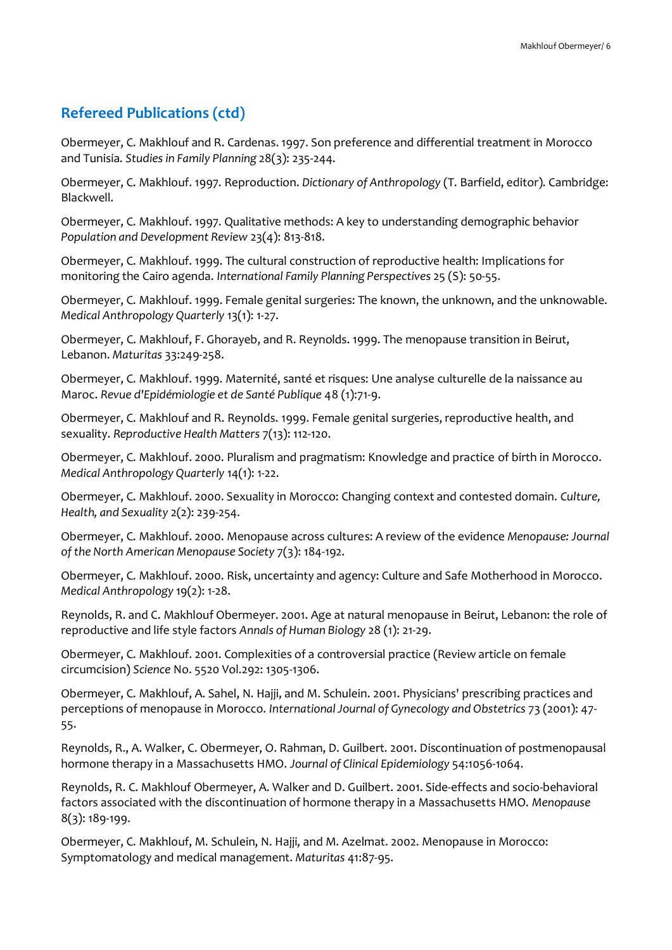Obermeyer, C. Makhlouf and R. Cardenas. 1997. Son preference and differential treatment in Morocco and Tunisia. *Studies in Family Planning* 28(3): 235-244.

Obermeyer, C. Makhlouf. 1997. Reproduction. *Dictionary of Anthropology* (T. Barfield, editor). Cambridge: Blackwell.

Obermeyer, C. Makhlouf. 1997. Qualitative methods: A key to understanding demographic behavior *Population and Development Review* 23(4): 813-818.

Obermeyer, C. Makhlouf. 1999. The cultural construction of reproductive health: Implications for monitoring the Cairo agenda. *International Family Planning Perspectives* 25 (S): 50-55.

Obermeyer, C. Makhlouf. 1999. Female genital surgeries: The known, the unknown, and the unknowable. *Medical Anthropology Quarterly* 13(1): 1-27.

Obermeyer, C. Makhlouf, F. Ghorayeb, and R. Reynolds. 1999. The menopause transition in Beirut, Lebanon. *Maturitas* 33:249-258.

Obermeyer, C. Makhlouf. 1999. Maternité, santé et risques: Une analyse culturelle de la naissance au Maroc. *Revue d'Epidémiologie et de Santé Publique* 48 (1):71-9.

Obermeyer, C. Makhlouf and R. Reynolds. 1999. Female genital surgeries, reproductive health, and sexuality. *Reproductive Health Matters* 7(13): 112-120.

Obermeyer, C. Makhlouf. 2000. Pluralism and pragmatism: Knowledge and practice of birth in Morocco. *Medical Anthropology Quarterly* 14(1): 1-22.

Obermeyer, C. Makhlouf. 2000. Sexuality in Morocco: Changing context and contested domain. *Culture, Health, and Sexuality* 2(2): 239-254.

Obermeyer, C. Makhlouf. 2000. Menopause across cultures: A review of the evidence *Menopause: Journal of the North American Menopause Society* 7(3): 184-192.

Obermeyer, C. Makhlouf. 2000. Risk, uncertainty and agency: Culture and Safe Motherhood in Morocco. *Medical Anthropology* 19(2): 1-28.

Reynolds, R. and C. Makhlouf Obermeyer. 2001. Age at natural menopause in Beirut, Lebanon: the role of reproductive and life style factors *Annals of Human Biology* 28 (1): 21-29.

Obermeyer, C. Makhlouf. 2001. Complexities of a controversial practice (Review article on female circumcision) *Science* No. 5520 Vol.292: 1305-1306.

Obermeyer, C. Makhlouf, A. Sahel, N. Hajji, and M. Schulein. 2001. Physicians' prescribing practices and perceptions of menopause in Morocco. *International Journal of Gynecology and Obstetrics* 73 (2001): 47- 55.

Reynolds, R., A. Walker, C. Obermeyer, O. Rahman, D. Guilbert. 2001. Discontinuation of postmenopausal hormone therapy in a Massachusetts HMO. *Journal of Clinical Epidemiology* 54:1056-1064.

Reynolds, R. C. Makhlouf Obermeyer, A. Walker and D. Guilbert. 2001. Side-effects and socio-behavioral factors associated with the discontinuation of hormone therapy in a Massachusetts HMO. *Menopause* 8(3): 189-199.

Obermeyer, C. Makhlouf, M. Schulein, N. Hajji, and M. Azelmat. 2002. Menopause in Morocco: Symptomatology and medical management. *Maturitas* 41:87-95.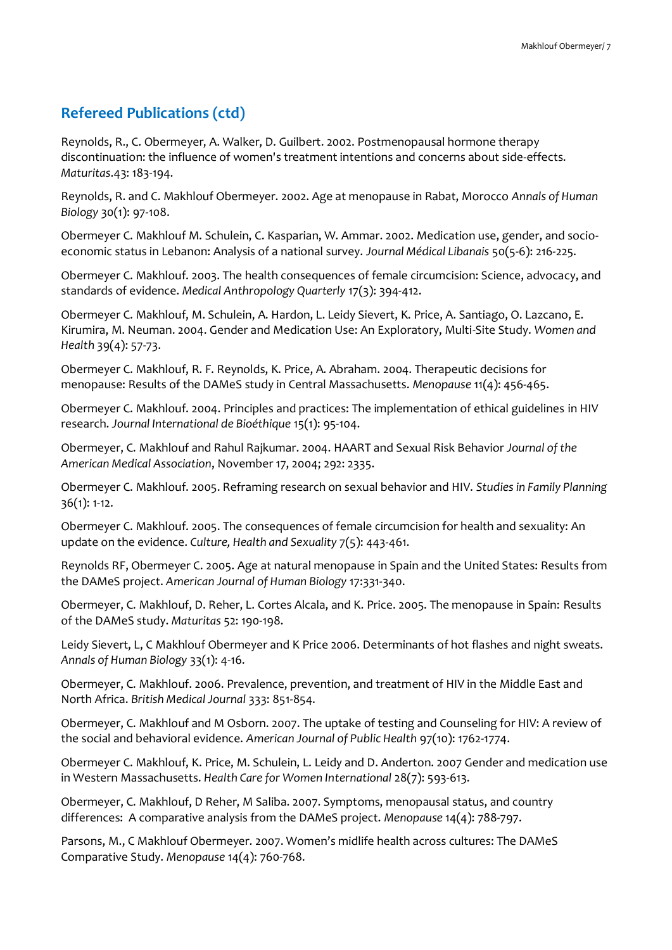Reynolds, R., C. Obermeyer, A. Walker, D. Guilbert. 2002. Postmenopausal hormone therapy discontinuation: the influence of women's treatment intentions and concerns about side-effects. *Maturitas*.43: 183-194.

Reynolds, R. and C. Makhlouf Obermeyer. 2002. Age at menopause in Rabat, Morocco *Annals of Human Biology* 30(1): 97-108.

Obermeyer C. Makhlouf M. Schulein, C. Kasparian, W. Ammar. 2002. Medication use, gender, and socioeconomic status in Lebanon: Analysis of a national survey. *Journal Médical Libanais* 50(5-6): 216-225.

Obermeyer C. Makhlouf. 2003. The health consequences of female circumcision: Science, advocacy, and standards of evidence. *Medical Anthropology Quarterly* 17(3): 394-412.

Obermeyer C. Makhlouf, M. Schulein, A. Hardon, L. Leidy Sievert, K. Price, A. Santiago, O. Lazcano, E. Kirumira, M. Neuman. 2004. Gender and Medication Use: An Exploratory, Multi-Site Study. *Women and Health* 39(4): 57-73.

Obermeyer C. Makhlouf, R. F. Reynolds, K. Price, A. Abraham. 2004. Therapeutic decisions for menopause: Results of the DAMeS study in Central Massachusetts. *Menopause* 11(4): 456-465.

Obermeyer C. Makhlouf. 2004. Principles and practices: The implementation of ethical guidelines in HIV research. *Journal International de Bioéthique* 15(1): 95-104.

Obermeyer, C. Makhlouf and Rahul Rajkumar. 2004. HAART and Sexual Risk Behavior *Journal of the American Medical Association*, November 17, 2004; 292: 2335.

Obermeyer C. Makhlouf. 2005. Reframing research on sexual behavior and HIV. *Studies in Family Planning* 36(1): 1-12.

Obermeyer C. Makhlouf. 2005. The consequences of female circumcision for health and sexuality: An update on the evidence. *Culture, Health and Sexuality* 7(5): 443-461.

Reynolds RF, Obermeyer C. 2005. Age at natural menopause in Spain and the United States: Results from the DAMeS project. *American Journal of Human Biology* 17:331-340.

Obermeyer, C. Makhlouf, D. Reher, L. Cortes Alcala, and K. Price. 2005. The menopause in Spain: Results of the DAMeS study. *Maturitas* 52: 190-198.

Leidy Sievert, L, C Makhlouf Obermeyer and K Price 2006. Determinants of hot flashes and night sweats. *Annals of Human Biology* 33(1): 4-16.

Obermeyer, C. Makhlouf. 2006. Prevalence, prevention, and treatment of HIV in the Middle East and North Africa. *British Medical Journal* 333: 851-854.

Obermeyer, C. Makhlouf and M Osborn. 2007. The uptake of testing and Counseling for HIV: A review of the social and behavioral evidence. *American Journal of Public Health* 97(10): 1762-1774.

Obermeyer C. Makhlouf, K. Price, M. Schulein, L. Leidy and D. Anderton. 2007 Gender and medication use in Western Massachusetts. *Health Care for Women International* 28(7): 593-613.

Obermeyer, C. Makhlouf, D Reher, M Saliba. 2007. Symptoms, menopausal status, and country differences: A comparative analysis from the DAMeS project. *Menopause* 14(4): 788-797.

Parsons, M., C Makhlouf Obermeyer. 2007. Women's midlife health across cultures: The DAMeS Comparative Study. *Menopause* 14(4): 760-768.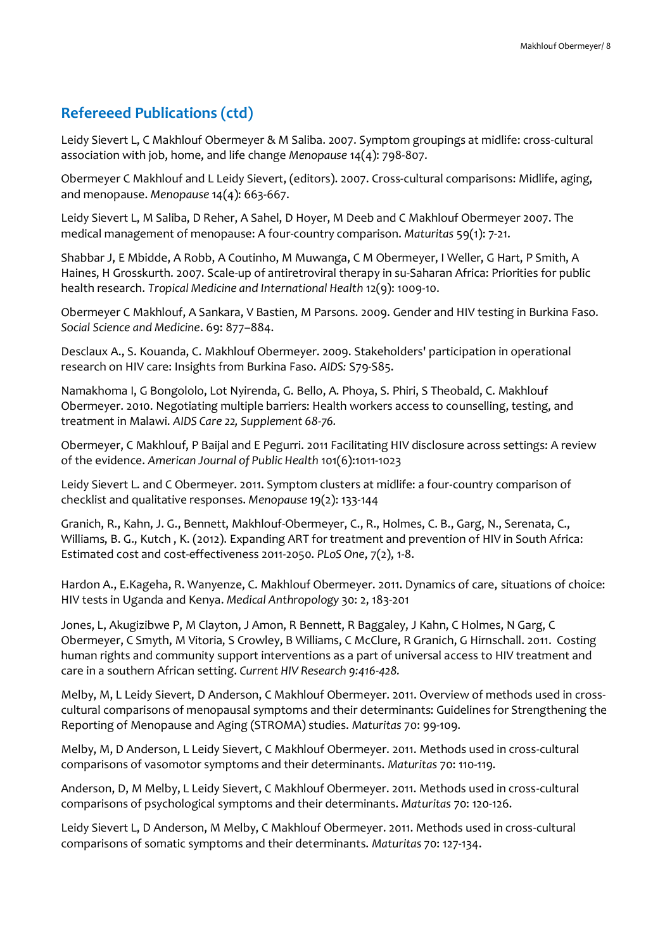Leidy Sievert L, C Makhlouf Obermeyer & M Saliba. 2007. Symptom groupings at midlife: cross-cultural association with job, home, and life change *Menopause* 14(4): 798-807.

Obermeyer C Makhlouf and L Leidy Sievert, (editors). 2007. Cross-cultural comparisons: Midlife, aging, and menopause. *Menopause* 14(4): 663-667.

Leidy Sievert L, M Saliba, D Reher, A Sahel, D Hoyer, M Deeb and C Makhlouf Obermeyer 2007. The medical management of menopause: A four-country comparison. *Maturitas* 59(1): 7-21.

Shabbar J, E Mbidde, A Robb, A Coutinho, M Muwanga, C M Obermeyer, I Weller, G Hart, P Smith, A Haines, H Grosskurth. 2007. Scale-up of antiretroviral therapy in su-Saharan Africa: Priorities for public health research. *Tropical Medicine and International Health* 12(9): 1009-10.

Obermeyer C Makhlouf, A Sankara, V Bastien, M Parsons. 2009. Gender and HIV testing in Burkina Faso. *Social Science and Medicine*. 69: 877–884.

Desclaux A., S. Kouanda, C. Makhlouf Obermeyer. 2009. Stakeholders' participation in operational research on HIV care: Insights from Burkina Faso. *AIDS:* S79-S85.

Namakhoma I, G Bongololo, Lot Nyirenda, G. Bello, A. Phoya, S. Phiri, S Theobald, C. Makhlouf Obermeyer. 2010. Negotiating multiple barriers: Health workers access to counselling, testing, and treatment in Malawi. *AIDS Care 22, Supplement 68-76.*

Obermeyer, C Makhlouf, P Baijal and E Pegurri. 2011 Facilitating HIV disclosure across settings: A review of the evidence. *American Journal of Public Health* 101(6):1011-1023

Leidy Sievert L. and C Obermeyer. 2011. Symptom clusters at midlife: a four-country comparison of checklist and qualitative responses. *Menopause* 19(2): 133-144

Granich, R., Kahn, J. G., Bennett, Makhlouf-Obermeyer, C., R., Holmes, C. B., Garg, N., Serenata, C., Williams, B. G., Kutch , K. (2012). Expanding ART for treatment and prevention of HIV in South Africa: Estimated cost and cost-effectiveness 2011-2050. *PLoS One*, 7(2), 1-8.

Hardon A., E.Kageha, R. Wanyenze, C. Makhlouf Obermeyer. 2011. Dynamics of care, situations of choice: HIV tests in Uganda and Kenya. *Medical Anthropology* 30: 2, 183-201

Jones, L, Akugizibwe P, M Clayton, J Amon, R Bennett, R Baggaley, J Kahn, C Holmes, N Garg, C Obermeyer, C Smyth, M Vitoria, S Crowley, B Williams, C McClure, R Granich, G Hirnschall. 2011. Costing human rights and community support interventions as a part of universal access to HIV treatment and care in a southern African setting. *Current HIV Research 9:416-428.*

Melby, M, L Leidy Sievert, D Anderson, C Makhlouf Obermeyer. 2011. Overview of methods used in crosscultural comparisons of menopausal symptoms and their determinants: Guidelines for Strengthening the Reporting of Menopause and Aging (STROMA) studies. *Maturitas* 70: 99-109.

Melby, M, D Anderson, L Leidy Sievert, C Makhlouf Obermeyer. 2011. Methods used in cross-cultural comparisons of vasomotor symptoms and their determinants. *Maturitas* 70: 110-119.

Anderson, D, M Melby, L Leidy Sievert, C Makhlouf Obermeyer. 2011. Methods used in cross-cultural comparisons of psychological symptoms and their determinants. *Maturitas* 70: 120-126.

Leidy Sievert L, D Anderson, M Melby, C Makhlouf Obermeyer. 2011. Methods used in cross-cultural comparisons of somatic symptoms and their determinants. *Maturitas* 70: 127-134.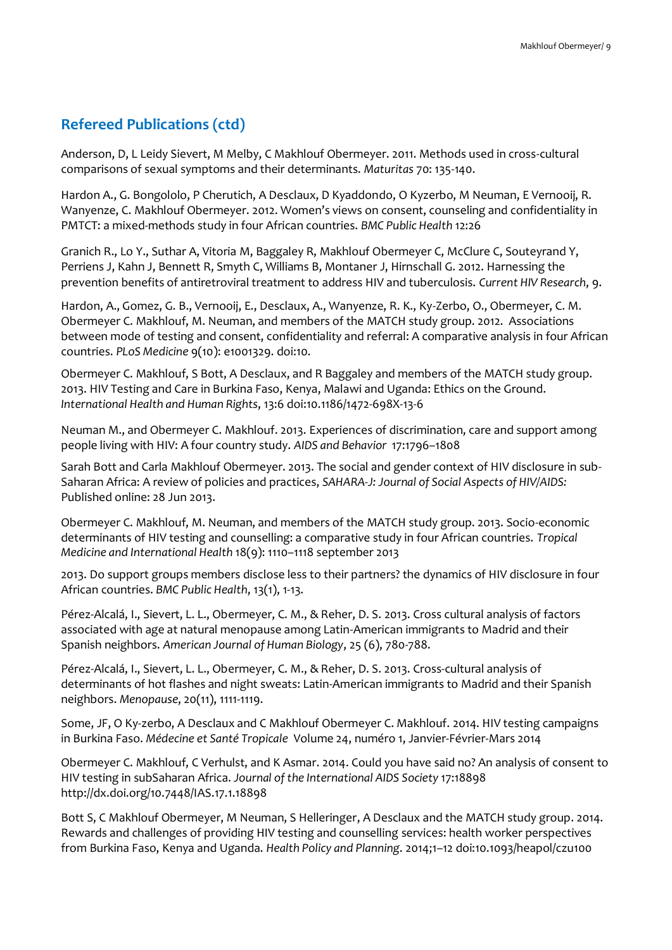Anderson, D, L Leidy Sievert, M Melby, C Makhlouf Obermeyer. 2011. Methods used in cross-cultural comparisons of sexual symptoms and their determinants. *Maturitas* 70: 135-140.

Hardon A., G. Bongololo, P Cherutich, A Desclaux, D Kyaddondo, O Kyzerbo, M Neuman, E Vernooij, R. Wanyenze, C. Makhlouf Obermeyer. 2012. Women's views on consent, counseling and confidentiality in PMTCT: a mixed-methods study in four African countries. *BMC Public Health* 12:26

Granich R., Lo Y., Suthar A, Vitoria M, Baggaley R, Makhlouf Obermeyer C, McClure C, Souteyrand Y, Perriens J, Kahn J, Bennett R, Smyth C, Williams B, Montaner J, Hirnschall G. 2012. Harnessing the prevention benefits of antiretroviral treatment to address HIV and tuberculosis. *Current HIV Research*, 9.

Hardon, A., Gomez, G. B., Vernooij, E., Desclaux, A., Wanyenze, R. K., Ky-Zerbo, O., Obermeyer, C. M. Obermeyer C. Makhlouf, M. Neuman, and members of the MATCH study group. 2012. Associations between mode of testing and consent, confidentiality and referral: A comparative analysis in four African countries. *PLoS Medicine* 9(10): e1001329. doi:10.

Obermeyer C. Makhlouf, S Bott, A Desclaux, and R Baggaley and members of the MATCH study group. 2013. HIV Testing and Care in Burkina Faso, Kenya, Malawi and Uganda: Ethics on the Ground. *International Health and Human Rights*, 13:6 doi:10.1186/1472-698X-13-6

Neuman M., and Obermeyer C. Makhlouf. 2013. Experiences of discrimination, care and support among people living with HIV: A four country study. *AIDS and Behavior* 17:1796–1808

Sarah Bott and Carla Makhlouf Obermeyer. 2013. The social and gender context of HIV disclosure in sub-Saharan Africa: A review of policies and practices, *SAHARA-J: Journal of Social Aspects of HIV/AIDS:*  Published online: 28 Jun 2013.

Obermeyer C. Makhlouf, M. Neuman, and members of the MATCH study group. 2013. Socio-economic determinants of HIV testing and counselling: a comparative study in four African countries. *Tropical Medicine and International Health* 18(9): 1110–1118 september 2013

2013. Do support groups members disclose less to their partners? the dynamics of HIV disclosure in four African countries. *BMC Public Health*, 13(1), 1-13.

Pérez-Alcalá, I., Sievert, L. L., Obermeyer, C. M., & Reher, D. S. 2013. Cross cultural analysis of factors associated with age at natural menopause among Latin-American immigrants to Madrid and their Spanish neighbors. *American Journal of Human Biology*, 25 (6), 780-788.

Pérez-Alcalá, I., Sievert, L. L., Obermeyer, C. M., & Reher, D. S. 2013. Cross-cultural analysis of determinants of hot flashes and night sweats: Latin-American immigrants to Madrid and their Spanish neighbors. *Menopause*, 20(11), 1111-1119.

Some, JF, O Ky-zerbo, A Desclaux and C Makhlouf Obermeyer C. Makhlouf. 2014. HIV testing campaigns in Burkina Faso. *Médecine et Santé Tropicale* Volume 24, numéro 1, Janvier-Février-Mars 2014

Obermeyer C. Makhlouf, C Verhulst, and K Asmar. 2014. Could you have said no? An analysis of consent to HIV testing in subSaharan Africa. *Journal of the International AIDS Society* 17:18898 http://dx.doi.org/10.7448/IAS.17.1.18898

Bott S, C Makhlouf Obermeyer, M Neuman, S Helleringer, A Desclaux and the MATCH study group. 2014. Rewards and challenges of providing HIV testing and counselling services: health worker perspectives from Burkina Faso, Kenya and Uganda. *Health Policy and Planning*. 2014;1–12 doi:10.1093/heapol/czu100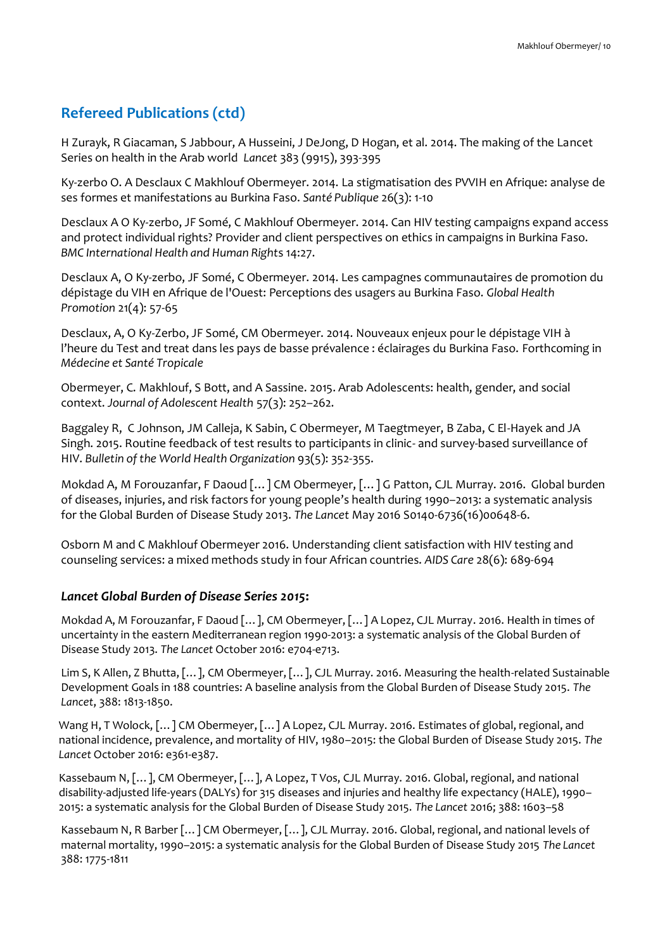H Zurayk, R Giacaman, S Jabbour, A Husseini, J DeJong, D Hogan, et al. 2014. The making of the Lancet Series on health in the Arab world *Lancet* 383 (9915), 393-395

Ky-zerbo O. A Desclaux C Makhlouf Obermeyer. 2014. La stigmatisation des PVVIH en Afrique: analyse de ses formes et manifestations au Burkina Faso. *Santé Publique* 26(3): 1-10

Desclaux A O Ky-zerbo, JF Somé, C Makhlouf Obermeyer. 2014. Can HIV testing campaigns expand access and protect individual rights? Provider and client perspectives on ethics in campaigns in Burkina Faso. *BMC International Health and Human Right*s 14:27.

Desclaux A, O Ky-zerbo, JF Somé, C Obermeyer. 2014. Les campagnes communautaires de promotion du dépistage du VIH en Afrique de l'Ouest: Perceptions des usagers au Burkina Faso. *Global Health Promotion* 21(4): 57-65

Desclaux, A, O Ky-Zerbo, JF Somé, CM Obermeyer. 2014. Nouveaux enjeux pour le dépistage VIH à l'heure du Test and treat dans les pays de basse prévalence : éclairages du Burkina Faso. Forthcoming in *Médecine et Santé Tropicale*

Obermeyer, C. Makhlouf, S Bott, and A Sassine. 2015. Arab Adolescents: health, gender, and social context. *Journal of Adolescent Health* 57(3): 252–262.

Baggaley R, C Johnson, JM Calleja, K Sabin, C Obermeyer, M Taegtmeyer, B Zaba, C El-Hayek and JA Singh. 2015. Routine feedback of test results to participants in clinic- and survey-based surveillance of HIV. *Bulletin of the World Health Organization* 93(5): 352-355.

Mokdad A, M Forouzanfar, F Daoud […] CM Obermeyer, […] G Patton, CJL Murray. 2016. Global burden of diseases, injuries, and risk factors for young people's health during 1990–2013: a systematic analysis for the Global Burden of Disease Study 2013. *The Lancet* May 2016 S0140-6736(16)00648-6.

Osborn M and C Makhlouf Obermeyer 2016. Understanding client satisfaction with HIV testing and counseling services: a mixed methods study in four African countries. *AIDS Care* 28(6): 689-694

### *Lancet Global Burden of Disease Series 2015***:**

Mokdad A, M Forouzanfar, F Daoud […], CM Obermeyer, […] A Lopez, CJL Murray. 2016. Health in times of uncertainty in the eastern Mediterranean region 1990-2013: a systematic analysis of the Global Burden of Disease Study 2013. *The Lancet* October 2016: e704-e713.

Lim S, K Allen, Z Bhutta, […], CM Obermeyer, […], CJL Murray. 2016. Measuring the health-related Sustainable Development Goals in 188 countries: A baseline analysis from the Global Burden of Disease Study 2015. *The Lancet*, 388: 1813-1850.

Wang H, T Wolock, […] CM Obermeyer, […] A Lopez, CJL Murray. 2016. Estimates of global, regional, and national incidence, prevalence, and mortality of HIV, 1980–2015: the Global Burden of Disease Study 2015. *The Lancet* October 2016: e361-e387.

Kassebaum N, […], CM Obermeyer, […], A Lopez, T Vos, CJL Murray. 2016. Global, regional, and national disability-adjusted life-years (DALYs) for 315 diseases and injuries and healthy life expectancy (HALE), 1990– 2015: a systematic analysis for the Global Burden of Disease Study 2015. *The Lancet* 2016; 388: 1603–58

Kassebaum N, R Barber […] CM Obermeyer, […], CJL Murray. 2016. Global, regional, and national levels of maternal mortality, 1990–2015: a systematic analysis for the Global Burden of Disease Study 2015 *The Lancet* 388: 1775-1811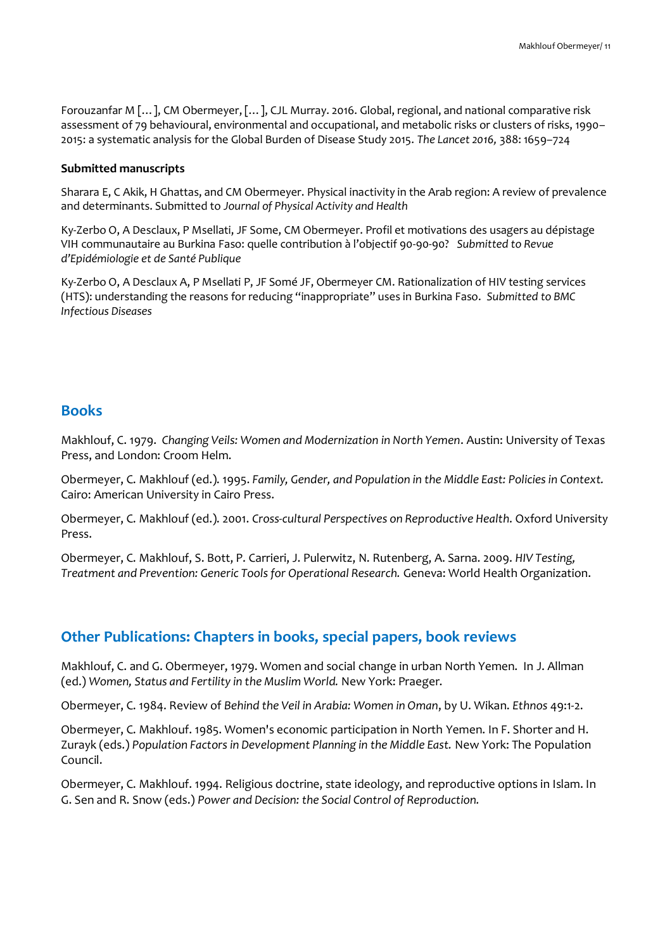Forouzanfar M […], CM Obermeyer, […], CJL Murray. 2016. Global, regional, and national comparative risk assessment of 79 behavioural, environmental and occupational, and metabolic risks or clusters of risks, 1990– 2015: a systematic analysis for the Global Burden of Disease Study 2015. *The Lancet 2016,* 388: 1659–724

#### **Submitted manuscripts**

Sharara E, C Akik, H Ghattas, and CM Obermeyer. Physical inactivity in the Arab region: A review of prevalence and determinants. Submitted to *Journal of Physical Activity and Health* 

Ky-Zerbo O, A Desclaux, P Msellati, JF Some, CM Obermeyer. Profil et motivations des usagers au dépistage VIH communautaire au Burkina Faso: quelle contribution à l'objectif 90-90-90? *Submitted to Revue d'Epidémiologie et de Santé Publique* 

Ky-Zerbo O, A Desclaux A, P Msellati P, JF Somé JF, Obermeyer CM. Rationalization of HIV testing services (HTS): understanding the reasons for reducing "inappropriate" uses in Burkina Faso. *Submitted to BMC Infectious Diseases* 

### **Books**

Makhlouf, C. 1979. *Changing Veils: Women and Modernization in North Yemen*. Austin: University of Texas Press, and London: Croom Helm.

Obermeyer, C. Makhlouf (ed.). 1995. *Family, Gender, and Population in the Middle East: Policies in Context.*  Cairo: American University in Cairo Press.

Obermeyer, C. Makhlouf (ed.). 2001. *Cross-cultural Perspectives on Reproductive Health*. Oxford University Press.

Obermeyer, C. Makhlouf, S. Bott, P. Carrieri, J. Pulerwitz, N. Rutenberg, A. Sarna. 2009. *HIV Testing, Treatment and Prevention: Generic Tools for Operational Research.* Geneva: World Health Organization.

### **Other Publications: Chapters in books, special papers, book reviews**

Makhlouf, C. and G. Obermeyer, 1979. Women and social change in urban North Yemen. In J. Allman (ed.) *Women, Status and Fertility in the Muslim World.* New York: Praeger.

Obermeyer, C. 1984. Review of *Behind the Veil in Arabia: Women in Oman*, by U. Wikan. *Ethnos* 49:1-2.

Obermeyer, C. Makhlouf. 1985. Women's economic participation in North Yemen. In F. Shorter and H. Zurayk (eds.) *Population Factors in Development Planning in the Middle East.* New York: The Population Council.

Obermeyer, C. Makhlouf. 1994. Religious doctrine, state ideology, and reproductive options in Islam. In G. Sen and R. Snow (eds.) *Power and Decision: the Social Control of Reproduction.*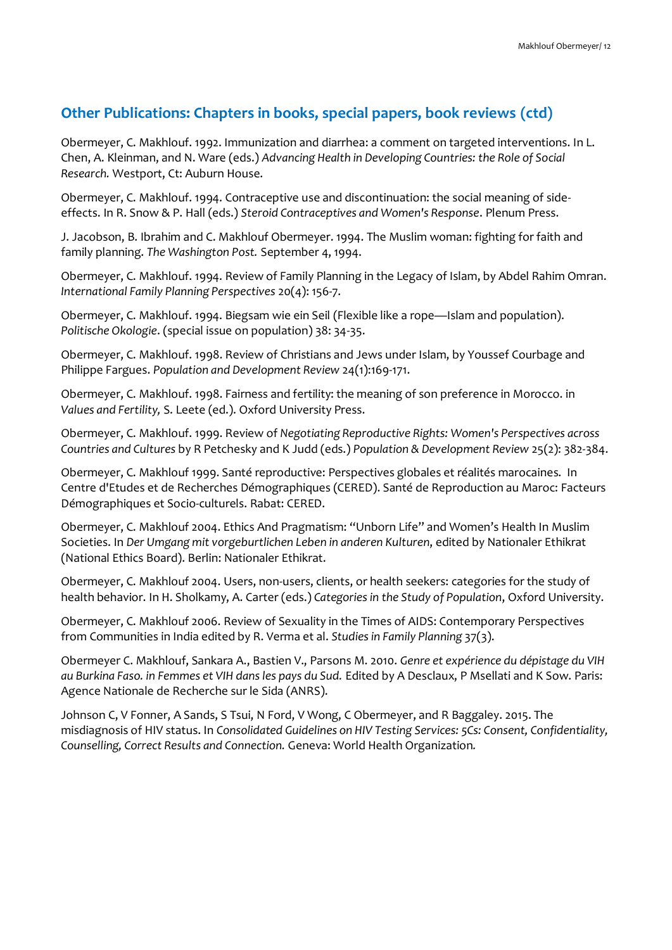### **Other Publications: Chapters in books, special papers, book reviews (ctd)**

Obermeyer, C. Makhlouf. 1992. Immunization and diarrhea: a comment on targeted interventions. In L. Chen, A. Kleinman, and N. Ware (eds.) *Advancing Health in Developing Countries: the Role of Social Research.* Westport, Ct: Auburn House.

Obermeyer, C. Makhlouf. 1994. Contraceptive use and discontinuation: the social meaning of sideeffects. In R. Snow & P. Hall (eds.) *Steroid Contraceptives and Women's Response*. Plenum Press.

J. Jacobson, B. Ibrahim and C. Makhlouf Obermeyer. 1994. The Muslim woman: fighting for faith and family planning. *The Washington Post.* September 4, 1994.

Obermeyer, C. Makhlouf. 1994. Review of Family Planning in the Legacy of Islam, by Abdel Rahim Omran. *International Family Planning Perspectives* 20(4): 156-7.

Obermeyer, C. Makhlouf. 1994. Biegsam wie ein Seil (Flexible like a rope—Islam and population). *Politische Okologie*. (special issue on population) 38: 34-35.

Obermeyer, C. Makhlouf. 1998. Review of Christians and Jews under Islam, by Youssef Courbage and Philippe Fargues. *Population and Development Review* 24(1):169-171.

Obermeyer, C. Makhlouf. 1998. Fairness and fertility: the meaning of son preference in Morocco. in *Values and Fertility,* S. Leete (ed.). Oxford University Press.

Obermeyer, C. Makhlouf. 1999. Review of *Negotiating Reproductive Rights: Women's Perspectives across Countries and Cultures* by R Petchesky and K Judd (eds.) *Population & Development Review* 25(2): 382-384.

Obermeyer, C. Makhlouf 1999. Santé reproductive: Perspectives globales et réalités marocaines. In Centre d'Etudes et de Recherches Démographiques (CERED). Santé de Reproduction au Maroc: Facteurs Démographiques et Socio-culturels. Rabat: CERED.

Obermeyer, C. Makhlouf 2004. Ethics And Pragmatism: "Unborn Life" and Women's Health In Muslim Societies. In *Der Umgang mit vorgeburtlichen Leben in anderen Kulturen*, edited by Nationaler Ethikrat (National Ethics Board). Berlin: Nationaler Ethikrat.

Obermeyer, C. Makhlouf 2004. Users, non-users, clients, or health seekers: categories for the study of health behavior. In H. Sholkamy, A. Carter (eds.) *Categories in the Study of Population*, Oxford University.

Obermeyer, C. Makhlouf 2006. Review of Sexuality in the Times of AIDS: Contemporary Perspectives from Communities in India edited by R. Verma et al. *Studies in Family Planning* 37(3).

Obermeyer C. Makhlouf, Sankara A., Bastien V., Parsons M. 2010. *Genre et expérience du dépistage du VIH au Burkina Faso. in Femmes et VIH dans les pays du Sud.* Edited by A Desclaux, P Msellati and K Sow. Paris: Agence Nationale de Recherche sur le Sida (ANRS).

Johnson C, V Fonner, A Sands, S Tsui, N Ford, V Wong, C Obermeyer, and R Baggaley. 2015. The misdiagnosis of HIV status. In *Consolidated Guidelines on HIV Testing Services: 5Cs: Consent, Confidentiality, Counselling, Correct Results and Connection.* Geneva: World Health Organization*.*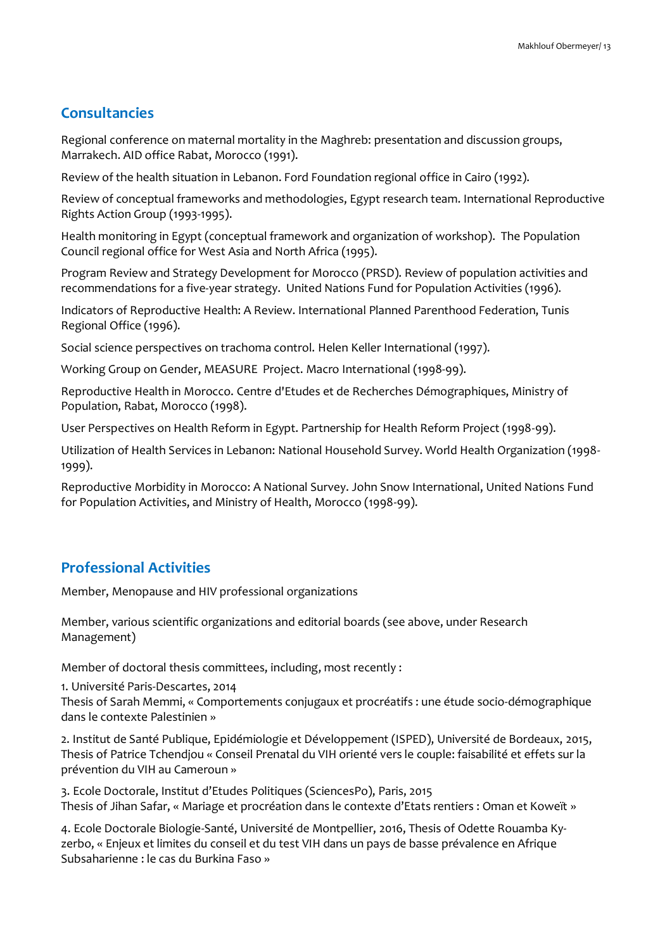### **Consultancies**

Regional conference on maternal mortality in the Maghreb: presentation and discussion groups, Marrakech. AID office Rabat, Morocco (1991).

Review of the health situation in Lebanon. Ford Foundation regional office in Cairo (1992).

Review of conceptual frameworks and methodologies, Egypt research team. International Reproductive Rights Action Group (1993-1995).

Health monitoring in Egypt (conceptual framework and organization of workshop). The Population Council regional office for West Asia and North Africa (1995).

Program Review and Strategy Development for Morocco (PRSD). Review of population activities and recommendations for a five-year strategy. United Nations Fund for Population Activities (1996).

Indicators of Reproductive Health: A Review. International Planned Parenthood Federation, Tunis Regional Office (1996).

Social science perspectives on trachoma control. Helen Keller International (1997).

Working Group on Gender, MEASURE Project. Macro International (1998-99).

Reproductive Health in Morocco. Centre d'Etudes et de Recherches Démographiques, Ministry of Population, Rabat, Morocco (1998).

User Perspectives on Health Reform in Egypt. Partnership for Health Reform Project (1998-99).

Utilization of Health Services in Lebanon: National Household Survey. World Health Organization (1998- 1999).

Reproductive Morbidity in Morocco: A National Survey. John Snow International, United Nations Fund for Population Activities, and Ministry of Health, Morocco (1998-99).

### **Professional Activities**

Member, Menopause and HIV professional organizations

Member, various scientific organizations and editorial boards (see above, under Research Management)

Member of doctoral thesis committees, including, most recently :

1. Université Paris-Descartes, 2014

Thesis of Sarah Memmi, « Comportements conjugaux et procréatifs : une étude socio-démographique dans le contexte Palestinien »

2. Institut de Santé Publique, Epidémiologie et Développement (ISPED), Université de Bordeaux, 2015, Thesis of Patrice Tchendjou « Conseil Prenatal du VIH orienté vers le couple: faisabilité et effets sur la prévention du VIH au Cameroun »

3. Ecole Doctorale, Institut d'Etudes Politiques (SciencesPo), Paris, 2015 Thesis of Jihan Safar, « Mariage et procréation dans le contexte d'Etats rentiers : Oman et Koweït »

4. Ecole Doctorale Biologie-Santé, Université de Montpellier, 2016, Thesis of Odette Rouamba Kyzerbo, « Enjeux et limites du conseil et du test VIH dans un pays de basse prévalence en Afrique Subsaharienne : le cas du Burkina Faso »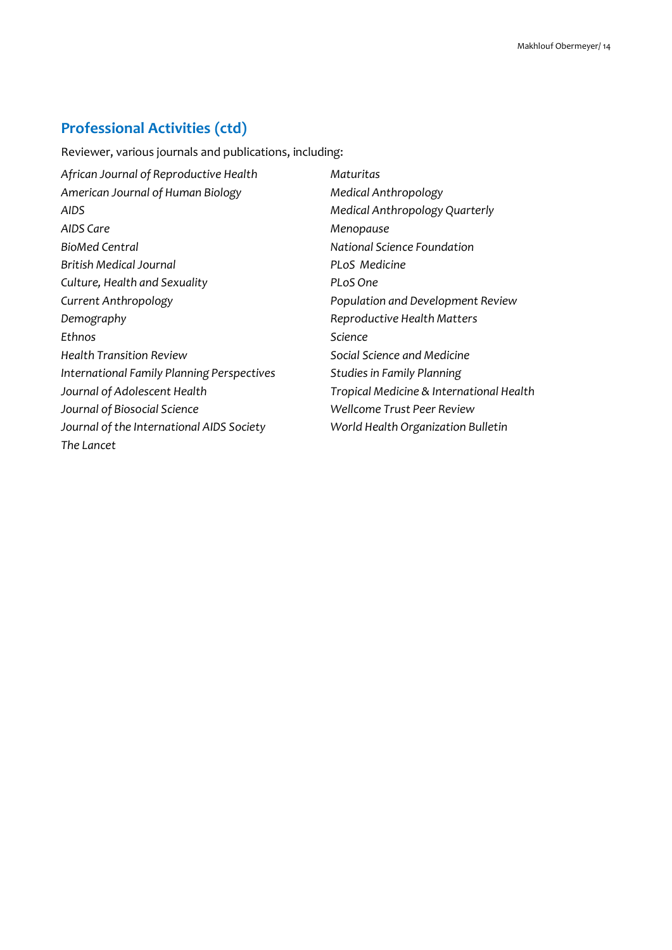# **Professional Activities (ctd)**

Reviewer, various journals and publications, including:

| African Journal of Reproductive Health     | Maturitas                                |
|--------------------------------------------|------------------------------------------|
| American Journal of Human Biology          | Medical Anthropology                     |
| AIDS                                       | Medical Anthropology Quarterly           |
| AIDS Care                                  | Menopause                                |
| BioMed Central                             | National Science Foundation              |
| British Medical Journal                    | <b>PLoS Medicine</b>                     |
| Culture, Health and Sexuality              | PLoS One                                 |
| Current Anthropology                       | Population and Development Review        |
| Demography                                 | Reproductive Health Matters              |
| Ethnos                                     | Science                                  |
| <b>Health Transition Review</b>            | Social Science and Medicine              |
| International Family Planning Perspectives | <b>Studies in Family Planning</b>        |
| Journal of Adolescent Health               | Tropical Medicine & International Health |
| Journal of Biosocial Science               | Wellcome Trust Peer Review               |
| Journal of the International AIDS Society  | World Health Organization Bulletin       |
| The Lancet                                 |                                          |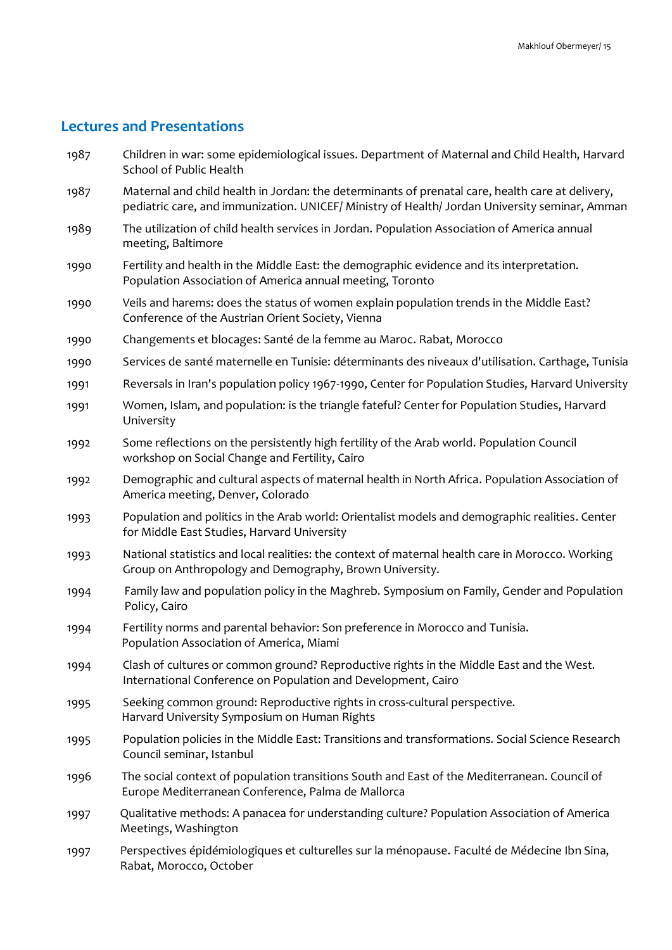### **Lectures and Presentations**

- 1987 Children in war: some epidemiological issues. Department of Maternal and Child Health, Harvard School of Public Health
- 1987 Maternal and child health in Jordan: the determinants of prenatal care, health care at delivery, pediatric care, and immunization. UNICEF/ Ministry of Health/ Jordan University seminar, Amman
- 1989 The utilization of child health services in Jordan. Population Association of America annual meeting, Baltimore
- 1990 Fertility and health in the Middle East: the demographic evidence and its interpretation. Population Association of America annual meeting, Toronto
- 1990 Veils and harems: does the status of women explain population trends in the Middle East? Conference of the Austrian Orient Society, Vienna
- 1990 Changements et blocages: Santé de la femme au Maroc. Rabat, Morocco
- 1990 Services de santé maternelle en Tunisie: déterminants des niveaux d'utilisation. Carthage, Tunisia
- 1991 Reversals in Iran's population policy 1967-1990, Center for Population Studies, Harvard University
- 1991 Women, Islam, and population: is the triangle fateful? Center for Population Studies, Harvard University
- 1992 Some reflections on the persistently high fertility of the Arab world. Population Council workshop on Social Change and Fertility, Cairo
- 1992 Demographic and cultural aspects of maternal health in North Africa. Population Association of America meeting, Denver, Colorado
- 1993 Population and politics in the Arab world: Orientalist models and demographic realities. Center for Middle East Studies, Harvard University
- 1993 National statistics and local realities: the context of maternal health care in Morocco. Working Group on Anthropology and Demography, Brown University.
- 1994 Family law and population policy in the Maghreb. Symposium on Family, Gender and Population Policy, Cairo
- 1994 Fertility norms and parental behavior: Son preference in Morocco and Tunisia. Population Association of America, Miami
- 1994 Clash of cultures or common ground? Reproductive rights in the Middle East and the West. International Conference on Population and Development, Cairo
- 1995 Seeking common ground: Reproductive rights in cross-cultural perspective. Harvard University Symposium on Human Rights
- 1995 Population policies in the Middle East: Transitions and transformations. Social Science Research Council seminar, Istanbul
- 1996 The social context of population transitions South and East of the Mediterranean. Council of Europe Mediterranean Conference, Palma de Mallorca
- 1997 Qualitative methods: A panacea for understanding culture? Population Association of America Meetings, Washington
- 1997 Perspectives épidémiologiques et culturelles sur la ménopause. Faculté de Médecine Ibn Sina, Rabat, Morocco, October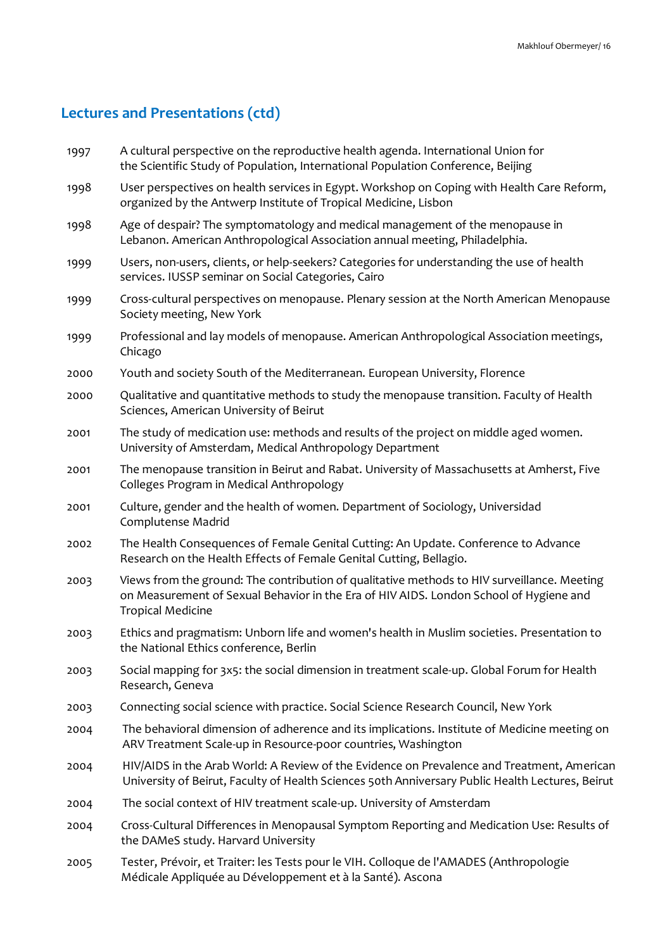| 1997 | A cultural perspective on the reproductive health agenda. International Union for<br>the Scientific Study of Population, International Population Conference, Beijing                                             |
|------|-------------------------------------------------------------------------------------------------------------------------------------------------------------------------------------------------------------------|
| 1998 | User perspectives on health services in Egypt. Workshop on Coping with Health Care Reform,<br>organized by the Antwerp Institute of Tropical Medicine, Lisbon                                                     |
| 1998 | Age of despair? The symptomatology and medical management of the menopause in<br>Lebanon. American Anthropological Association annual meeting, Philadelphia.                                                      |
| 1999 | Users, non-users, clients, or help-seekers? Categories for understanding the use of health<br>services. IUSSP seminar on Social Categories, Cairo                                                                 |
| 1999 | Cross-cultural perspectives on menopause. Plenary session at the North American Menopause<br>Society meeting, New York                                                                                            |
| 1999 | Professional and lay models of menopause. American Anthropological Association meetings,<br>Chicago                                                                                                               |
| 2000 | Youth and society South of the Mediterranean. European University, Florence                                                                                                                                       |
| 2000 | Qualitative and quantitative methods to study the menopause transition. Faculty of Health<br>Sciences, American University of Beirut                                                                              |
| 2001 | The study of medication use: methods and results of the project on middle aged women.<br>University of Amsterdam, Medical Anthropology Department                                                                 |
| 2001 | The menopause transition in Beirut and Rabat. University of Massachusetts at Amherst, Five<br>Colleges Program in Medical Anthropology                                                                            |
| 2001 | Culture, gender and the health of women. Department of Sociology, Universidad<br>Complutense Madrid                                                                                                               |
| 2002 | The Health Consequences of Female Genital Cutting: An Update. Conference to Advance<br>Research on the Health Effects of Female Genital Cutting, Bellagio.                                                        |
| 2003 | Views from the ground: The contribution of qualitative methods to HIV surveillance. Meeting<br>on Measurement of Sexual Behavior in the Era of HIV AIDS. London School of Hygiene and<br><b>Tropical Medicine</b> |
| 2003 | Ethics and pragmatism: Unborn life and women's health in Muslim societies. Presentation to<br>the National Ethics conference, Berlin                                                                              |
| 2003 | Social mapping for 3x5: the social dimension in treatment scale-up. Global Forum for Health<br>Research, Geneva                                                                                                   |
| 2003 | Connecting social science with practice. Social Science Research Council, New York                                                                                                                                |
| 2004 | The behavioral dimension of adherence and its implications. Institute of Medicine meeting on<br>ARV Treatment Scale-up in Resource-poor countries, Washington                                                     |
| 2004 | HIV/AIDS in the Arab World: A Review of the Evidence on Prevalence and Treatment, American<br>University of Beirut, Faculty of Health Sciences 50th Anniversary Public Health Lectures, Beirut                    |
| 2004 | The social context of HIV treatment scale-up. University of Amsterdam                                                                                                                                             |
| 2004 | Cross-Cultural Differences in Menopausal Symptom Reporting and Medication Use: Results of<br>the DAMeS study. Harvard University                                                                                  |
| 2005 | Tester, Prévoir, et Traiter: les Tests pour le VIH. Colloque de l'AMADES (Anthropologie<br>Médicale Appliquée au Développement et à la Santé). Ascona                                                             |
|      |                                                                                                                                                                                                                   |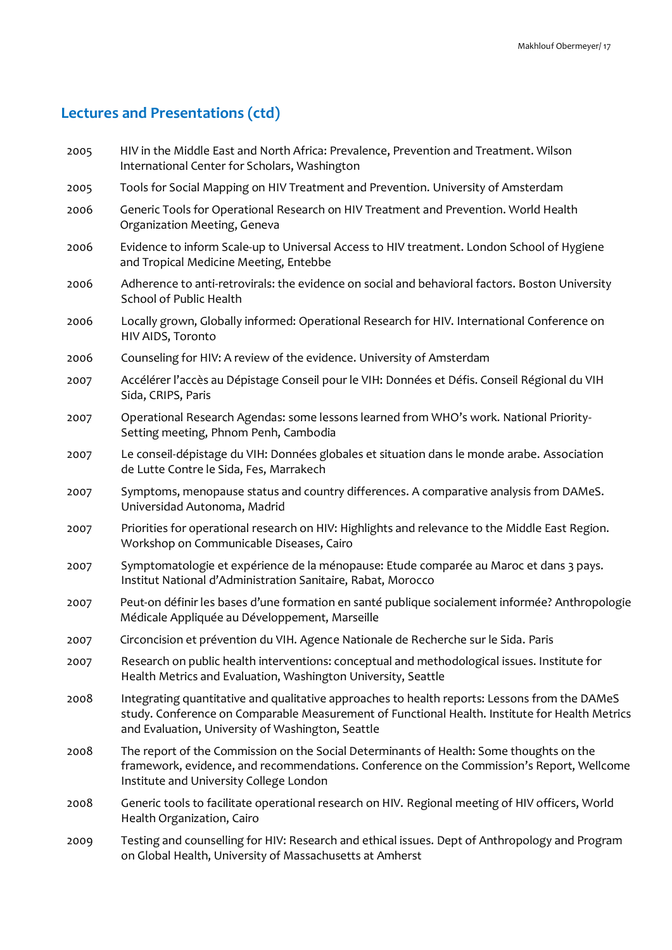| 2005 | HIV in the Middle East and North Africa: Prevalence, Prevention and Treatment. Wilson<br>International Center for Scholars, Washington                                                                                                               |
|------|------------------------------------------------------------------------------------------------------------------------------------------------------------------------------------------------------------------------------------------------------|
| 2005 | Tools for Social Mapping on HIV Treatment and Prevention. University of Amsterdam                                                                                                                                                                    |
| 2006 | Generic Tools for Operational Research on HIV Treatment and Prevention. World Health<br>Organization Meeting, Geneva                                                                                                                                 |
| 2006 | Evidence to inform Scale-up to Universal Access to HIV treatment. London School of Hygiene<br>and Tropical Medicine Meeting, Entebbe                                                                                                                 |
| 2006 | Adherence to anti-retrovirals: the evidence on social and behavioral factors. Boston University<br>School of Public Health                                                                                                                           |
| 2006 | Locally grown, Globally informed: Operational Research for HIV. International Conference on<br>HIV AIDS, Toronto                                                                                                                                     |
| 2006 | Counseling for HIV: A review of the evidence. University of Amsterdam                                                                                                                                                                                |
| 2007 | Accélérer l'accès au Dépistage Conseil pour le VIH: Données et Défis. Conseil Régional du VIH<br>Sida, CRIPS, Paris                                                                                                                                  |
| 2007 | Operational Research Agendas: some lessons learned from WHO's work. National Priority-<br>Setting meeting, Phnom Penh, Cambodia                                                                                                                      |
| 2007 | Le conseil-dépistage du VIH: Données globales et situation dans le monde arabe. Association<br>de Lutte Contre le Sida, Fes, Marrakech                                                                                                               |
| 2007 | Symptoms, menopause status and country differences. A comparative analysis from DAMeS.<br>Universidad Autonoma, Madrid                                                                                                                               |
| 2007 | Priorities for operational research on HIV: Highlights and relevance to the Middle East Region.<br>Workshop on Communicable Diseases, Cairo                                                                                                          |
| 2007 | Symptomatologie et expérience de la ménopause: Etude comparée au Maroc et dans 3 pays.<br>Institut National d'Administration Sanitaire, Rabat, Morocco                                                                                               |
| 2007 | Peut-on définir les bases d'une formation en santé publique socialement informée? Anthropologie<br>Médicale Appliquée au Développement, Marseille                                                                                                    |
| 2007 | Circoncision et prévention du VIH. Agence Nationale de Recherche sur le Sida. Paris                                                                                                                                                                  |
| 2007 | Research on public health interventions: conceptual and methodological issues. Institute for<br>Health Metrics and Evaluation, Washington University, Seattle                                                                                        |
| 2008 | Integrating quantitative and qualitative approaches to health reports: Lessons from the DAMeS<br>study. Conference on Comparable Measurement of Functional Health. Institute for Health Metrics<br>and Evaluation, University of Washington, Seattle |
| 2008 | The report of the Commission on the Social Determinants of Health: Some thoughts on the<br>framework, evidence, and recommendations. Conference on the Commission's Report, Wellcome<br>Institute and University College London                      |
| 2008 | Generic tools to facilitate operational research on HIV. Regional meeting of HIV officers, World<br>Health Organization, Cairo                                                                                                                       |
| 2009 | Testing and counselling for HIV: Research and ethical issues. Dept of Anthropology and Program<br>on Global Health, University of Massachusetts at Amherst                                                                                           |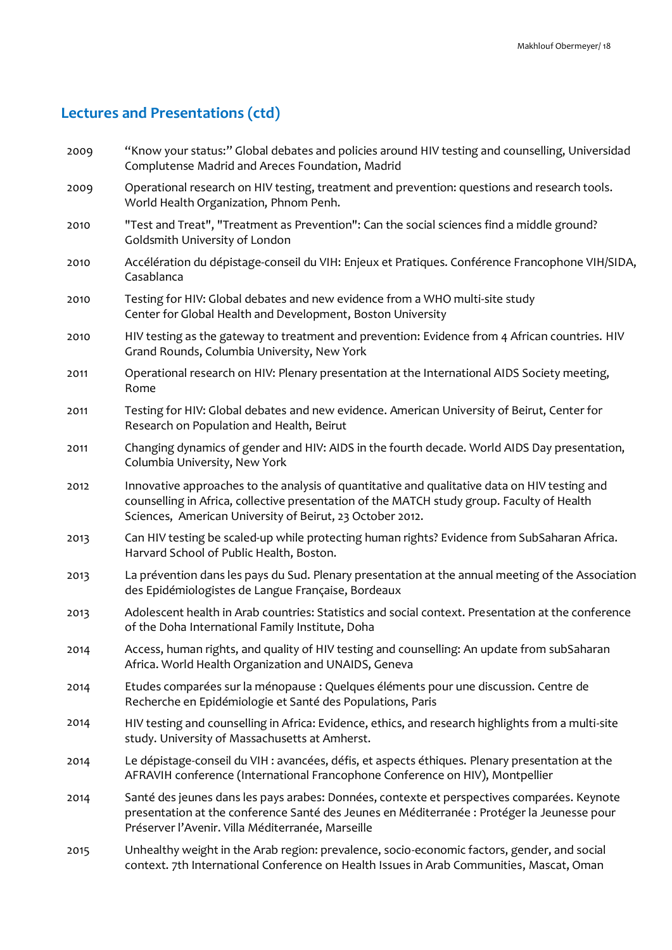2009 "Know your status:" Global debates and policies around HIV testing and counselling, Universidad Complutense Madrid and Areces Foundation, Madrid 2009 Operational research on HIV testing, treatment and prevention: questions and research tools. World Health Organization, Phnom Penh. 2010 "Test and Treat", "Treatment as Prevention": Can the social sciences find a middle ground? Goldsmith University of London 2010 Accélération du dépistage-conseil du VIH: Enjeux et Pratiques. Conférence Francophone VIH/SIDA, Casablanca 2010 Testing for HIV: Global debates and new evidence from a WHO multi-site study Center for Global Health and Development, Boston University 2010 HIV testing as the gateway to treatment and prevention: Evidence from 4 African countries. HIV Grand Rounds, Columbia University, New York 2011 Operational research on HIV: Plenary presentation at the International AIDS Society meeting, Rome 2011 Testing for HIV: Global debates and new evidence. American University of Beirut, Center for Research on Population and Health, Beirut 2011 Changing dynamics of gender and HIV: AIDS in the fourth decade. World AIDS Day presentation, Columbia University, New York 2012 Innovative approaches to the analysis of quantitative and qualitative data on HIV testing and counselling in Africa, collective presentation of the MATCH study group. Faculty of Health Sciences, American University of Beirut, 23 October 2012. 2013 Can HIV testing be scaled-up while protecting human rights? Evidence from SubSaharan Africa. Harvard School of Public Health, Boston. 2013 La prévention dans les pays du Sud. Plenary presentation at the annual meeting of the Association des Epidémiologistes de Langue Française, Bordeaux 2013 Adolescent health in Arab countries: Statistics and social context. Presentation at the conference of the Doha International Family Institute, Doha 2014 Access, human rights, and quality of HIV testing and counselling: An update from subSaharan Africa. World Health Organization and UNAIDS, Geneva 2014 2014 2014 Etudes comparées sur la ménopause : Quelques éléments pour une discussion. Centre de Recherche en Epidémiologie et Santé des Populations, Paris HIV testing and counselling in Africa: Evidence, ethics, and research highlights from a multi-site study. University of Massachusetts at Amherst. Le dépistage-conseil du VIH : avancées, défis, et aspects éthiques. Plenary presentation at the AFRAVIH conference (International Francophone Conference on HIV), Montpellier 2014 Santé des jeunes dans les pays arabes: Données, contexte et perspectives comparées. Keynote presentation at the conference Santé des Jeunes en Méditerranée : Protéger la Jeunesse pour Préserver l'Avenir. Villa Méditerranée, Marseille 2015 Unhealthy weight in the Arab region: prevalence, socio-economic factors, gender, and social context. 7th International Conference on Health Issues in Arab Communities, Mascat, Oman